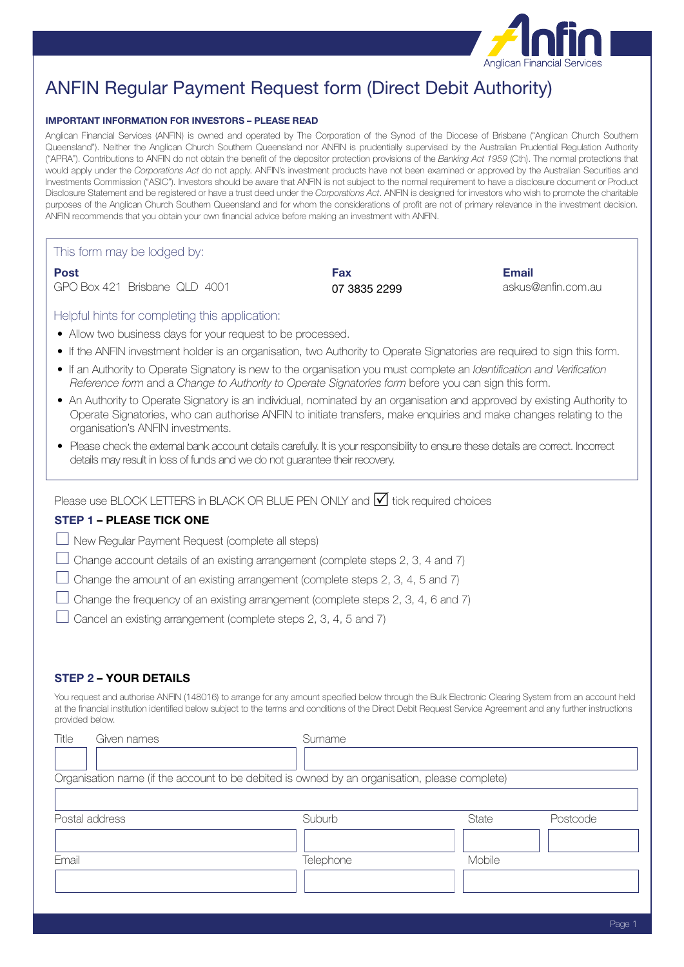

# ANFIN Regular Payment Request form (Direct Debit Authority)

#### **IMPORTANT INFORMATION FOR INVESTORS – PLEASE READ**

Anglican Financial Services (ANFIN) is owned and operated by The Corporation of the Synod of the Diocese of Brisbane ("Anglican Church Southern Queensland"). Neither the Anglican Church Southern Queensland nor ANFIN is prudentially supervised by the Australian Prudential Regulation Authority ("APRA"). Contributions to ANFIN do not obtain the benefit of the depositor protection provisions of the *Banking Act 1959* (Cth). The normal protections that would apply under the *Corporations Act* do not apply. ANFIN's investment products have not been examined or approved by the Australian Securities and Investments Commission ("ASIC"). Investors should be aware that ANFIN is not subject to the normal requirement to have a disclosure document or Product Disclosure Statement and be registered or have a trust deed under the *Corporations Act*. ANFIN is designed for investors who wish to promote the charitable purposes of the Anglican Church Southern Queensland and for whom the considerations of profit are not of primary relevance in the investment decision. ANFIN recommends that you obtain your own financial advice before making an investment with ANFIN.

This form may be lodged by:

GPO Box 421 Brisbane QLD 4001 **07 3835 2299** askus@anfin.com.au

**Post Fax Email**

Helpful hints for completing this application:

- Allow two business days for your request to be processed.
- If the ANFIN investment holder is an organisation, two Authority to Operate Signatories are required to sign this form.
- If an Authority to Operate Signatory is new to the organisation you must complete an *Identification and Verification Reference form* and a *Change to Authority to Operate Signatories form* before you can sign this form.
- An Authority to Operate Signatory is an individual, nominated by an organisation and approved by existing Authority to Operate Signatories, who can authorise ANFIN to initiate transfers, make enquiries and make changes relating to the organisation's ANFIN investments.
- Please check the external bank account details carefully. It is your responsibility to ensure these details are correct. Incorrect details may result in loss of funds and we do not guarantee their recovery.

Please use BLOCK LETTERS in BLACK OR BLUE PEN ONLY and  $\mathcal N$  tick required choices

## **STEP 1 – PLEASE TICK ONE**

 $\Box$  New Regular Payment Request (complete all steps)

 $\Box$  Change account details of an existing arrangement (complete steps 2, 3, 4 and 7)

- $\Box$  Change the amount of an existing arrangement (complete steps 2, 3, 4, 5 and 7)
- $\Box$  Change the frequency of an existing arrangement (complete steps 2, 3, 4, 6 and 7)
- $\Box$  Cancel an existing arrangement (complete steps 2, 3, 4, 5 and 7)

## **STEP 2 – YOUR DETAILS**

You request and authorise ANFIN (148016) to arrange for any amount specified below through the Bulk Electronic Clearing System from an account held at the financial institution identified below subject to the terms and conditions of the Direct Debit Request Service Agreement and any further instructions provided below.

| Title<br>Given names | Surname                                                                                       |        |          |
|----------------------|-----------------------------------------------------------------------------------------------|--------|----------|
|                      |                                                                                               |        |          |
|                      | Organisation name (if the account to be debited is owned by an organisation, please complete) |        |          |
|                      |                                                                                               |        |          |
| Postal address       | Suburb                                                                                        | State  | Postcode |
|                      |                                                                                               |        |          |
| Email                | <b>Telephone</b>                                                                              | Mobile |          |
|                      |                                                                                               |        |          |
|                      |                                                                                               |        |          |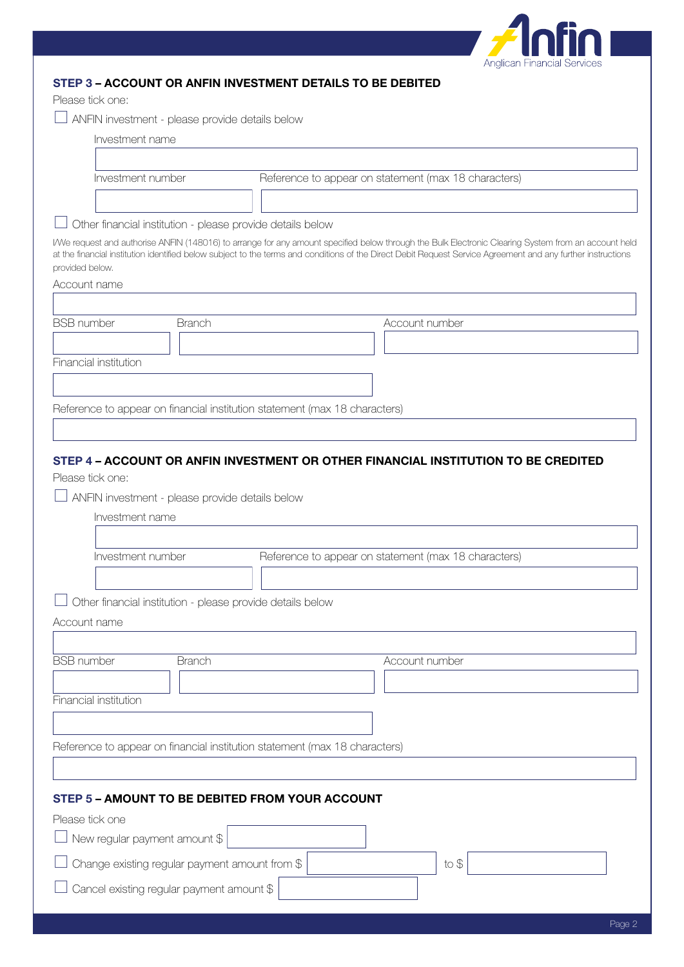

|  | STEP 3 - ACCOUNT OR ANFIN INVESTMENT DETAILS TO BE DEBITED |  |
|--|------------------------------------------------------------|--|
|  |                                                            |  |

Please tick one:

| ANFIN investment - please provide details below |
|-------------------------------------------------|
|-------------------------------------------------|

| Investment name                                                                                     |                                                            |                                                                                                                                                                                                                                                                                                                      |  |  |
|-----------------------------------------------------------------------------------------------------|------------------------------------------------------------|----------------------------------------------------------------------------------------------------------------------------------------------------------------------------------------------------------------------------------------------------------------------------------------------------------------------|--|--|
| Investment number                                                                                   |                                                            | Reference to appear on statement (max 18 characters)                                                                                                                                                                                                                                                                 |  |  |
|                                                                                                     |                                                            |                                                                                                                                                                                                                                                                                                                      |  |  |
|                                                                                                     | Other financial institution - please provide details below |                                                                                                                                                                                                                                                                                                                      |  |  |
| provided below.                                                                                     |                                                            | I/We request and authorise ANFIN (148016) to arrange for any amount specified below through the Bulk Electronic Clearing System from an account held<br>at the financial institution identified below subject to the terms and conditions of the Direct Debit Request Service Agreement and any further instructions |  |  |
| Account name                                                                                        |                                                            |                                                                                                                                                                                                                                                                                                                      |  |  |
|                                                                                                     |                                                            |                                                                                                                                                                                                                                                                                                                      |  |  |
| <b>BSB</b> number<br><b>Branch</b>                                                                  |                                                            | Account number                                                                                                                                                                                                                                                                                                       |  |  |
| Financial institution                                                                               |                                                            |                                                                                                                                                                                                                                                                                                                      |  |  |
|                                                                                                     |                                                            |                                                                                                                                                                                                                                                                                                                      |  |  |
|                                                                                                     |                                                            |                                                                                                                                                                                                                                                                                                                      |  |  |
| Reference to appear on financial institution statement (max 18 characters)                          |                                                            |                                                                                                                                                                                                                                                                                                                      |  |  |
|                                                                                                     |                                                            |                                                                                                                                                                                                                                                                                                                      |  |  |
| Investment name<br>Investment number<br>Account name<br><b>BSB</b> number<br><b>Branch</b>          | Other financial institution - please provide details below | Reference to appear on statement (max 18 characters)<br>Account number                                                                                                                                                                                                                                               |  |  |
|                                                                                                     |                                                            |                                                                                                                                                                                                                                                                                                                      |  |  |
| Financial institution                                                                               |                                                            |                                                                                                                                                                                                                                                                                                                      |  |  |
|                                                                                                     |                                                            |                                                                                                                                                                                                                                                                                                                      |  |  |
| Reference to appear on financial institution statement (max 18 characters)                          |                                                            |                                                                                                                                                                                                                                                                                                                      |  |  |
|                                                                                                     |                                                            |                                                                                                                                                                                                                                                                                                                      |  |  |
| STEP 5 - AMOUNT TO BE DEBITED FROM YOUR ACCOUNT<br>Please tick one<br>New regular payment amount \$ |                                                            |                                                                                                                                                                                                                                                                                                                      |  |  |
| Change existing regular payment amount from \$                                                      |                                                            | to \$                                                                                                                                                                                                                                                                                                                |  |  |
|                                                                                                     |                                                            |                                                                                                                                                                                                                                                                                                                      |  |  |
| Cancel existing regular payment amount \$                                                           |                                                            |                                                                                                                                                                                                                                                                                                                      |  |  |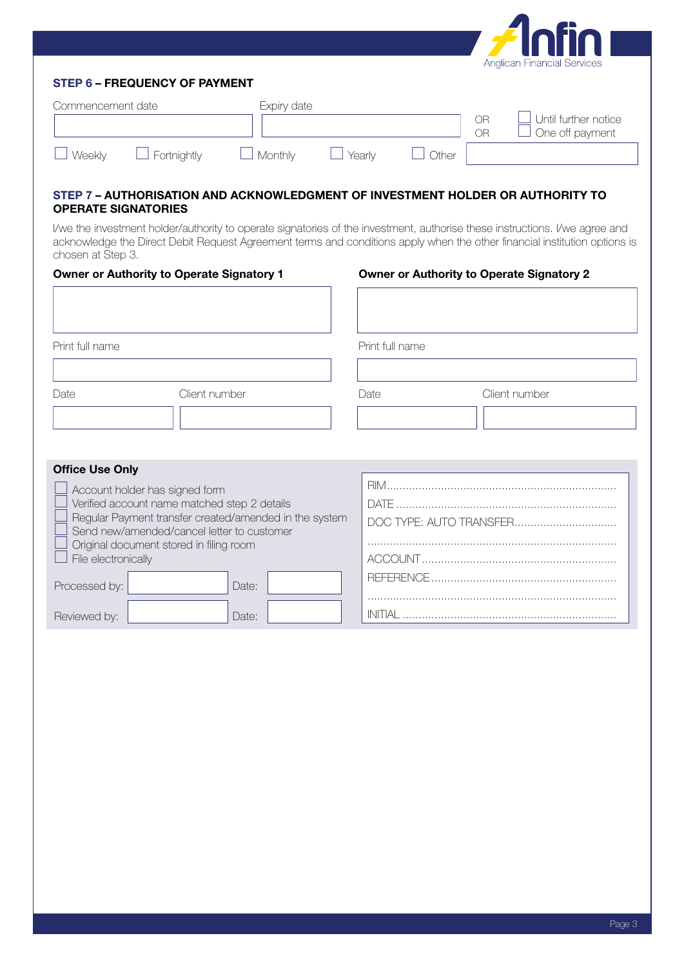

# **STEP 6 – FREQUENCY OF PAYMENT**

| Commencement date |                    | Expiry date |        |       |          |                                                |
|-------------------|--------------------|-------------|--------|-------|----------|------------------------------------------------|
|                   |                    |             |        |       | NR<br>∩R | $\Box$ Until further notice<br>One off payment |
| Weekly            | $\Box$ Fortnightly | Monthly     | Yearly | Other |          |                                                |

# **STEP 7 – AUTHORISATION AND ACKNOWLEDGMENT OF INVESTMENT HOLDER OR AUTHORITY TO OPERATE SIGNATORIES**

I/we the investment holder/authority to operate signatories of the investment, authorise these instructions. I/we agree and acknowledge the Direct Debit Request Agreement terms and conditions apply when the other financial institution options is chosen at Step 3.

| <b>Owner or Authority to Operate Signatory 1</b>                                                                                                                                                                                                         |               |                 | <b>Owner or Authority to Operate Signatory 2</b> |  |  |
|----------------------------------------------------------------------------------------------------------------------------------------------------------------------------------------------------------------------------------------------------------|---------------|-----------------|--------------------------------------------------|--|--|
| Print full name                                                                                                                                                                                                                                          |               | Print full name |                                                  |  |  |
| Date                                                                                                                                                                                                                                                     | Client number | Date            | Client number                                    |  |  |
| <b>Office Use Only</b>                                                                                                                                                                                                                                   |               |                 |                                                  |  |  |
| Account holder has signed form<br>Verified account name matched step 2 details<br>Regular Payment transfer created/amended in the system<br>Send new/amended/cancel letter to customer<br>Original document stored in filing room<br>File electronically |               |                 | DOC TYPE: AUTO TRANSFER                          |  |  |
| Processed by:                                                                                                                                                                                                                                            | Date:         |                 |                                                  |  |  |
| Reviewed by:                                                                                                                                                                                                                                             | Date:         |                 |                                                  |  |  |